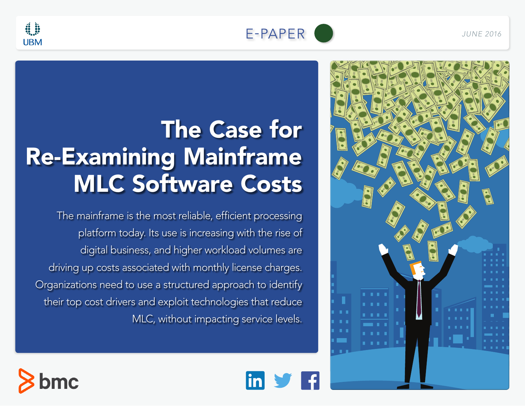

linl

<span id="page-0-0"></span>

# The Case for Re-Examining Mainframe MLC Software Costs

The mainframe is the most reliable, efficient processing platform today. Its use is increasing with the rise of digital business, and higher workload volumes are driving up costs associated with monthly license charges. Organizations need to use a structured approach to identify their top cost drivers and exploit technologies that reduce MLC, without impacting service levels.



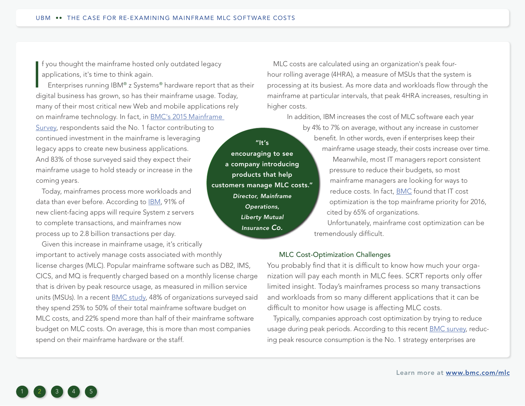f you thought the mainframe hosted only outdated legacy applications, it's time to think again.

<span id="page-1-0"></span>|<br>|<br>|-Enterprises running IBM® z Systems® hardware report that as their digital business has grown, so has their mainframe usage. Today, many of their most critical new Web and mobile applications rely on mainframe technology. In fact, in [BMC's 2015 Mainframe](http://www.bmc.com/info/mainframe-survey.html)  [Survey,](http://www.bmc.com/info/mainframe-survey.html) respondents said the No. 1 factor contributing to continued investment in the mainframe is leveraging legacy apps to create new business applications. And 83% of those surveyed said they expect their mainframe usage to hold steady or increase in the coming years.

Today, mainframes process more workloads and data than ever before. According to [IBM](http://public.dhe.ibm.com/common/ssi/ecm/zs/en/zsj03241usen/ZSJ03241USEN.PDF), 91% of new client-facing apps will require System z servers to complete transactions, and mainframes now process up to 2.8 billion transactions per day.

Given this increase in mainframe usage, it's critically important to actively manage costs associated with monthly license charges (MLC). Popular mainframe software such as DB2, IMS, CICS, and MQ is frequently charged based on a monthly license charge that is driven by peak resource usage, as measured in million service units (MSUs). In a recent **BMC** study, 48% of organizations surveyed said they spend 25% to 50% of their total mainframe software budget on MLC costs, and 22% spend more than half of their mainframe software budget on MLC costs. On average, this is more than most companies spend on their mainframe hardware or the staff.

MLC costs are calculated using an organization's peak fourhour rolling average (4HRA), a measure of MSUs that the system is processing at its busiest. As more data and workloads flow through the mainframe at particular intervals, that peak 4HRA increases, resulting in higher costs.

In addition, IBM increases the cost of MLC software each year by 4% to 7% on average, without any increase in customer benefit. In other words, even if enterprises keep their mainframe usage steady, their costs increase over time.

> Meanwhile, most IT managers report consistent pressure to reduce their budgets, so most mainframe managers are looking for ways to reduce costs. In fact, [BMC](http://www.bmc.com/info/mainframe-survey.html) found that IT cost optimization is the top mainframe priority for 2016, cited by 65% of organizations.

Unfortunately, mainframe cost optimization can be tremendously difficult.

## MLC Cost-Optimization Challenges

You probably find that it is difficult to know how much your organization will pay each month in MLC fees. SCRT reports only offer limited insight. Today's mainframes process so many transactions and workloads from so many different applications that it can be difficult to monitor how usage is affecting MLC costs.

Typically, companies approach cost optimization by trying to reduce usage during peak periods. According to this recent **BMC** survey, reducing peak resource consumption is the No. 1 strategy enterprises are



"It's encouraging to see a company introducing products that help customers manage MLC costs." *Director, Mainframe Operations, Liberty Mutual Insurance Co.*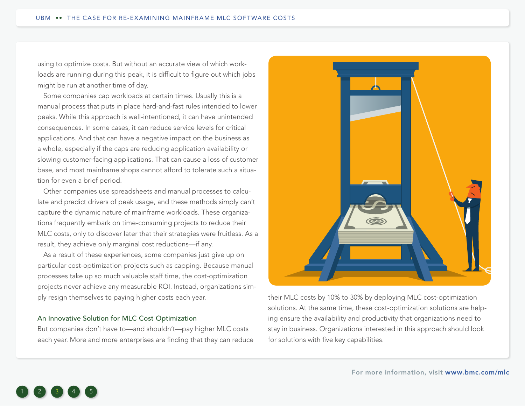<span id="page-2-0"></span>using to optimize costs. But without an accurate view of which workloads are running during this peak, it is difficult to figure out which jobs might be run at another time of day.

Some companies cap workloads at certain times. Usually this is a manual process that puts in place hard-and-fast rules intended to lower peaks. While this approach is well-intentioned, it can have unintended consequences. In some cases, it can reduce service levels for critical applications. And that can have a negative impact on the business as a whole, especially if the caps are reducing application availability or slowing customer-facing applications. That can cause a loss of customer base, and most mainframe shops cannot afford to tolerate such a situation for even a brief period.

Other companies use spreadsheets and manual processes to calculate and predict drivers of peak usage, and these methods simply can't capture the dynamic nature of mainframe workloads. These organizations frequently embark on time-consuming projects to reduce their MLC costs, only to discover later that their strategies were fruitless. As a result, they achieve only marginal cost reductions—if any.

As a result of these experiences, some companies just give up on particular cost-optimization projects such as capping. Because manual processes take up so much valuable staff time, the cost-optimization projects never achieve any measurable ROI. Instead, organizations simply resign themselves to paying higher costs each year.

#### An Innovative Solution for MLC Cost Optimization

But companies don't have to—and shouldn't—pay higher MLC costs each year. More and more enterprises are finding that they can reduce



their MLC costs by 10% to 30% by deploying MLC cost-optimization solutions. At the same time, these cost-optimization solutions are helping ensure the availability and productivity that organizations need to stay in business. Organizations interested in this approach should look for solutions with five key capabilities.

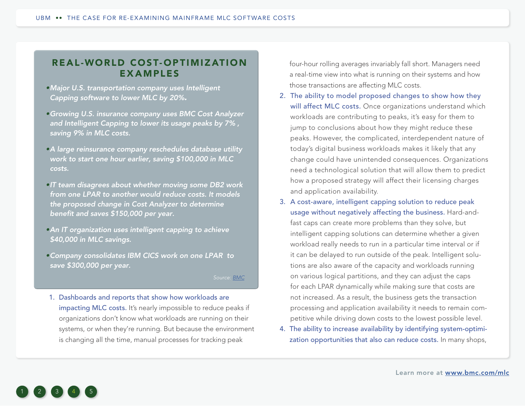# <span id="page-3-0"></span>REAL-WORLD COST- OP TIMIZ ATION EXAMPLES

- *•Major U.S. transportation company uses Intelligent Capping software to lower MLC by 20%.*
- *•Growing U.S. insurance company uses BMC Cost Analyzer and Intelligent Capping to lower its usage peaks by 7% , saving 9% in MLC costs.*
- *•A large reinsurance company reschedules database utility work to start one hour earlier, saving \$100,000 in MLC costs.*
- *•IT team disagrees about whether moving some DB2 work from one LPAR to another would reduce costs. It models the proposed change in Cost Analyzer to determine benefit and saves \$150,000 per year.*
- *•An IT organization uses intelligent capping to achieve \$40,000 in MLC savings.*
- *•Company consolidates IBM CICS work on one LPAR to save \$300,000 per year.*

*Source: [BMC](http://www.bmc.com/mlc)*

1. Dashboards and reports that show how workloads are impacting MLC costs. It's nearly impossible to reduce peaks if organizations don't know what workloads are running on their systems, or when they're running. But because the environment is changing all the time, manual processes for tracking peak

four-hour rolling averages invariably fall short. Managers need a real-time view into what is running on their systems and how those transactions are affecting MLC costs.

- 2. The ability to model proposed changes to show how they will affect MLC costs. Once organizations understand which workloads are contributing to peaks, it's easy for them to jump to conclusions about how they might reduce these peaks. However, the complicated, interdependent nature of today's digital business workloads makes it likely that any change could have unintended consequences. Organizations need a technological solution that will allow them to predict how a proposed strategy will affect their licensing charges and application availability.
- 3. A cost-aware, intelligent capping solution to reduce peak usage without negatively affecting the business. Hard-andfast caps can create more problems than they solve, but intelligent capping solutions can determine whether a given workload really needs to run in a particular time interval or if it can be delayed to run outside of the peak. Intelligent solutions are also aware of the capacity and workloads running on various logical partitions, and they can adjust the caps for each LPAR dynamically while making sure that costs are not increased. As a result, the business gets the transaction processing and application availability it needs to remain competitive while driving down costs to the lowest possible level.
- 4. The ability to increase availability by identifying system-optimization opportunities that also can reduce costs. In many shops,